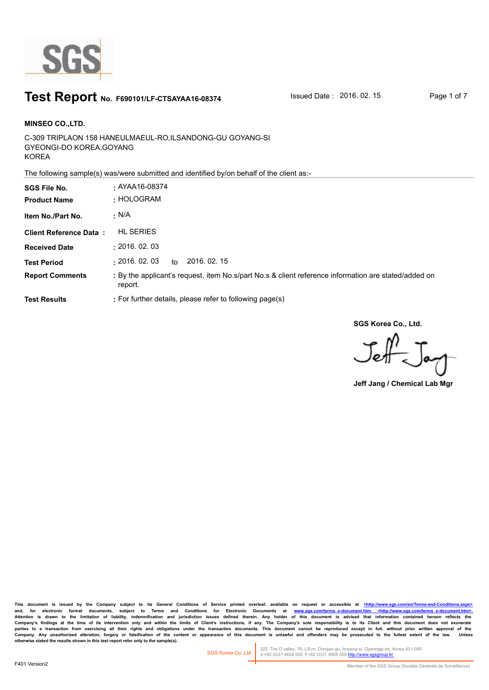

### **Test Report** No. F690101/LF-CTSAYAA16-08374 Issued Date : 2016. 02. 15 Page 1 of 7

C-309 TRIPLAON 158 HANEULMAEUL-RO,ILSANDONG-GU GOYANG-SI GYEONGI-DO KOREA,GOYANG KOREA **MINSEO CO.,LTD. SGS File No. :** AYAA16-08374

The following sample(s) was/were submitted and identified by/on behalf of the client as:-

| <b>SGS File No.</b><br><b>Product Name</b> | $\cdot$ AYAA16-08374<br>: HOLOGRAM                                                                              |
|--------------------------------------------|-----------------------------------------------------------------------------------------------------------------|
| Item No./Part No.                          | · N/A                                                                                                           |
| <b>Client Reference Data:</b>              | <b>HL SERIES</b>                                                                                                |
| <b>Received Date</b>                       | : 2016.02.03                                                                                                    |
| <b>Test Period</b>                         | : 2016.02.03<br>2016, 02, 15<br>to                                                                              |
| <b>Report Comments</b>                     | : By the applicant's request, item No.s/part No.s & client reference information are stated/added on<br>report. |
| <b>Test Results</b>                        | : For further details, please refer to following page(s)                                                        |

**SGS Korea Co., Ltd.**

 $J_{\rm eff}$ 

**Jeff Jang / Chemical Lab Mgr**

This document is issued by the Company subject to its General Conditions of Service printed overleaf, available on request or accessible at <http://www.sgs.com/en/Terms-and-C and, for electronic format documents, subject to Terms and Conditions for Electronic Documents at <u>www.sgs.com/terms\_e-document.htm <http://www.sgs.com/terms\_e-document.htm>-</u><br>Attention is drawn to the limitation of liabil Company's findings at the time of its intervention only and within the limits of Client's instructions, if any. The Company's sole responsibility is to its Client and this document does not exonerate<br>parties to a transacti Company. Any unauthorized alteration, forgery or falsification of the content or appearance of this document is unlawful and offenders may be prosecuted to the fullest extent of the law. Unless otherwise stated the results

322, The O valley, 76, LS-ro, Dongan-gu, Anyang-si, Gyeonggi-do, Korea 431-080  **t** +82 (0)31 4608 000 **f** +82 (0)31 4608 059 http://www.sgsgroup.kr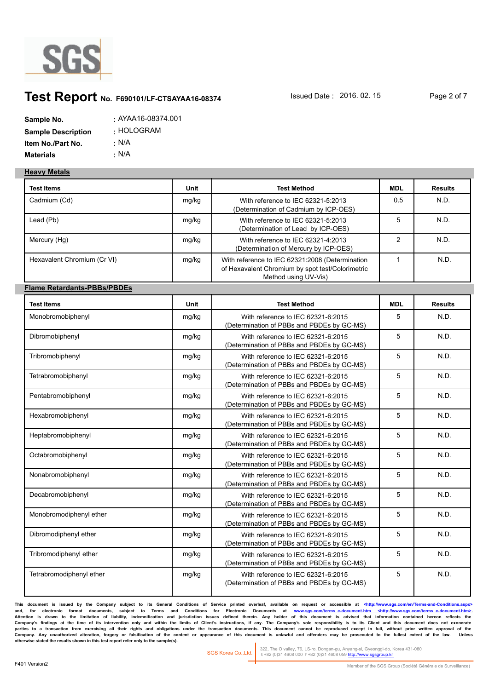

## **Test Report** No. F690101/LF-CTSAYAA16-08374 **Issued Date : 2016. 02. 15** Page 2 of 7

| Sample No.                | : AYAA16-08374.001 |
|---------------------------|--------------------|
| <b>Sample Description</b> | : HOLOGRAM         |
| Item No./Part No.         | : N/A              |
| <b>Materials</b>          | ∴ N/A              |

#### **Heavy Metals**

| <b>Test Items</b>                  | Unit        | <b>Test Method</b>                                                                                                          | <b>MDL</b>     | <b>Results</b> |
|------------------------------------|-------------|-----------------------------------------------------------------------------------------------------------------------------|----------------|----------------|
| Cadmium (Cd)                       | mg/kg       | With reference to IEC 62321-5:2013<br>(Determination of Cadmium by ICP-OES)                                                 | 0.5            | N.D.           |
| Lead (Pb)                          | mg/kg       | With reference to IEC 62321-5:2013<br>(Determination of Lead by ICP-OES)                                                    | 5              | N.D.           |
| Mercury (Hg)                       | mg/kg       | With reference to IEC 62321-4:2013<br>(Determination of Mercury by ICP-OES)                                                 | $\overline{2}$ | N.D.           |
| Hexavalent Chromium (Cr VI)        | mg/kg       | With reference to IEC 62321:2008 (Determination<br>of Hexavalent Chromium by spot test/Colorimetric<br>Method using UV-Vis) | $\mathbf{1}$   | N.D.           |
| <b>Flame Retardants-PBBs/PBDEs</b> |             |                                                                                                                             |                |                |
| <b>Test Items</b>                  | <b>Unit</b> | <b>Test Method</b>                                                                                                          | <b>MDL</b>     | <b>Results</b> |
| Monobromobiphenyl                  | mg/kg       | With reference to IEC 62321-6:2015<br>(Determination of PBBs and PBDEs by GC-MS)                                            | 5              | N.D.           |
| Dibromobiphenyl                    | mg/kg       | With reference to IEC 62321-6:2015<br>(Determination of PBBs and PBDEs by GC-MS)                                            | 5              | N.D.           |
| Tribromobiphenyl                   | mg/kg       | With reference to IEC 62321-6:2015<br>(Determination of PBBs and PBDEs by GC-MS)                                            | 5              | N.D.           |
| Tetrabromobiphenyl                 | mg/kg       | With reference to IEC 62321-6:2015<br>(Determination of PBBs and PBDEs by GC-MS)                                            | 5              | N.D.           |
| Pentabromobiphenyl                 | mg/kg       | With reference to IEC 62321-6:2015<br>(Determination of PBBs and PBDEs by GC-MS)                                            | 5              | N.D.           |
| Hexabromobiphenyl                  | mg/kg       | With reference to IEC 62321-6:2015<br>(Determination of PBBs and PBDEs by GC-MS)                                            | 5              | N.D.           |
| Heptabromobiphenyl                 | mg/kg       | With reference to IEC 62321-6:2015<br>(Determination of PBBs and PBDEs by GC-MS)                                            | 5              | N.D.           |
| Octabromobiphenyl                  | mg/kg       | With reference to IEC 62321-6:2015<br>(Determination of PBBs and PBDEs by GC-MS)                                            | 5              | N.D.           |
| Nonabromobiphenyl                  | mg/kg       | With reference to IEC 62321-6:2015<br>(Determination of PBBs and PBDEs by GC-MS)                                            | 5              | N.D.           |
| Decabromobiphenyl                  | mg/kg       | With reference to IEC 62321-6:2015<br>(Determination of PBBs and PBDEs by GC-MS)                                            | 5              | N.D.           |
| Monobromodiphenyl ether            | mg/kg       | With reference to IEC 62321-6:2015<br>(Determination of PBBs and PBDEs by GC-MS)                                            | 5              | N.D.           |
| Dibromodiphenyl ether              | mg/kg       | With reference to IEC 62321-6:2015<br>(Determination of PBBs and PBDEs by GC-MS)                                            | 5              | N.D.           |
| Tribromodiphenyl ether             | mg/kg       | With reference to IEC 62321-6:2015<br>(Determination of PBBs and PBDEs by GC-MS)                                            | 5              | N.D.           |
| Tetrabromodiphenyl ether           | mg/kg       | With reference to IEC 62321-6:2015<br>(Determination of PBBs and PBDEs by GC-MS)                                            | 5              | N.D.           |

This document is issued by the Company subject to its General Conditions of Service printed overleaf, available on request or accessible at <http://www.sgs.com/en/Terms-and-Conditions. and, for electronic format documents, subject to Terms and Conditions for Electronic Documents at <u>www.sgs.com/terms\_e-document.htm <http://www.sgs.com/terms\_e-document.htm>-</u><br>Attention is drawn to the limitation of liabil Company's findings at the time of its intervention only and within the limits of Client's instructions, if any. The Company's sole responsibility is to its Client and this document does not exonerate<br>parties to a transacti Company. Any unauthorized alteration, forgery or falsification of the content or appearance of this document is unlawful and offenders may be prosecuted to the fullest extent of the law. Unless otherwise stated the results

322, The O valley, 76, LS-ro, Dongan-gu, Anyang-si, Gyeonggi-do, Korea 431-080  **t** +82 (0)31 4608 000 **f** +82 (0)31 4608 059 http://www.sgsgroup.kr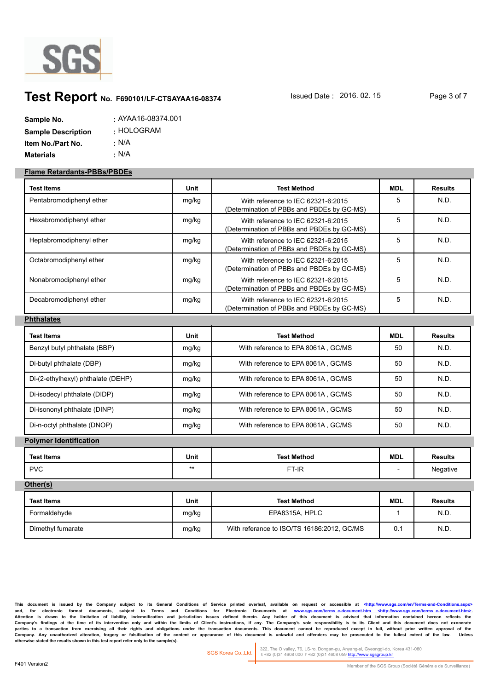

# **Test Report** No. F690101/LF-CTSAYAA16-08374 **Issued Date : 2016. 02. 15** Page 3 of 7

| Sample No.                | $:$ AYAA16-08374.001 |
|---------------------------|----------------------|
| <b>Sample Description</b> | : HOLOGRAM           |
| Item No./Part No.         | : N/A                |
| <b>Materials</b>          | • N/A                |

#### **Flame Retardants-PBBs/PBDEs**

| Test Items                         | Unit        | <b>Test Method</b>                                                               | <b>MDL</b>   | <b>Results</b> |
|------------------------------------|-------------|----------------------------------------------------------------------------------|--------------|----------------|
| Pentabromodiphenyl ether           | mg/kg       | With reference to IEC 62321-6:2015<br>(Determination of PBBs and PBDEs by GC-MS) | 5            | N.D.           |
| Hexabromodiphenyl ether            | mg/kg       | With reference to IEC 62321-6:2015<br>(Determination of PBBs and PBDEs by GC-MS) | 5            | N.D.           |
| Heptabromodiphenyl ether           | mg/kg       | With reference to IEC 62321-6:2015<br>(Determination of PBBs and PBDEs by GC-MS) | 5            | N.D.           |
| Octabromodiphenyl ether            | mg/kg       | With reference to IEC 62321-6:2015<br>(Determination of PBBs and PBDEs by GC-MS) | 5            | N.D.           |
| Nonabromodiphenyl ether            | mg/kg       | With reference to IEC 62321-6:2015<br>(Determination of PBBs and PBDEs by GC-MS) | 5            | N.D.           |
| Decabromodiphenyl ether            | mg/kg       | With reference to IEC 62321-6:2015<br>(Determination of PBBs and PBDEs by GC-MS) | 5            | N.D.           |
| <b>Phthalates</b>                  |             |                                                                                  |              |                |
| <b>Test Items</b>                  | Unit        | <b>Test Method</b>                                                               | <b>MDL</b>   | <b>Results</b> |
| Benzyl butyl phthalate (BBP)       | mg/kg       | With reference to EPA 8061A, GC/MS                                               | 50           | N.D.           |
| Di-butyl phthalate (DBP)           | mg/kg       | With reference to EPA 8061A, GC/MS                                               | 50           | N.D.           |
| Di-(2-ethylhexyl) phthalate (DEHP) | mg/kg       | With reference to EPA 8061A, GC/MS                                               | 50           | N.D.           |
| Di-isodecyl phthalate (DIDP)       | mg/kg       | With reference to EPA 8061A, GC/MS                                               | 50           | N.D.           |
| Di-isononyl phthalate (DINP)       | mg/kg       | With reference to EPA 8061A, GC/MS                                               | 50           | N.D.           |
| Di-n-octyl phthalate (DNOP)        | mg/kg       | With reference to EPA 8061A, GC/MS                                               | 50           | N.D.           |
| <b>Polymer Identification</b>      |             |                                                                                  |              |                |
| <b>Test Items</b>                  | <b>Unit</b> | <b>Test Method</b>                                                               | <b>MDL</b>   | <b>Results</b> |
| <b>PVC</b>                         | $***$       | FT-IR                                                                            |              | Negative       |
| Other(s)                           |             |                                                                                  |              |                |
| <b>Test Items</b>                  | Unit        | <b>Test Method</b>                                                               | <b>MDL</b>   | <b>Results</b> |
| Formaldehyde                       | mg/kg       | EPA8315A, HPLC                                                                   | $\mathbf{1}$ | N.D.           |
| Dimethyl fumarate                  | mg/kg       | With referance to ISO/TS 16186:2012, GC/MS                                       | 0.1          | N.D.           |

This document is issued by the Company subject to its General Conditions of Service printed overleaf, available on request or accessible at <http://www.sgs.com/en/Termsand, for electronic format documents, subject to Terms and Conditions for Electronic Documents at <u>www.sgs.com/terms\_e-document.htm <http://www.sgs.com/terms\_e-document.htm>-</u><br>Attention is drawn to the limitation of liabil Company's findings at the time of its intervention only and within the limits of Client's instructions, if any. The Company's sole responsibility is to its Client and this document does not exonerate<br>parties to a transacti Company. Any unauthorized alteration, forgery or falsification of the content or appearance of this document is unlawful and offenders may be prosecuted to the fullest extent of the law. Unless otherwise stated the results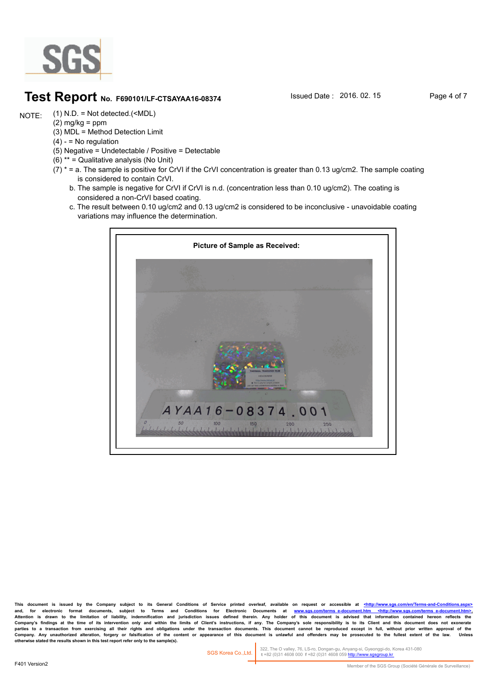

### **Test Report** No. F690101/LF-CTSAYAA16-08374 **Issued Date : 2016. 02. 15** Page 4 of 7

(1) N.D. = Not detected.(<MDL) NOTE:

- $(2)$  mg/kg = ppm
- (3) MDL = Method Detection Limit  $(4) -$  = No regulation
- (5) Negative = Undetectable / Positive = Detectable
- (6) \*\* = Qualitative analysis (No Unit)
- $(7)$  \* = a. The sample is positive for CrVI if the CrVI concentration is greater than 0.13 ug/cm2. The sample coating is considered to contain CrVI.
	- b. The sample is negative for CrVI if CrVI is n.d. (concentration less than 0.10 ug/cm2). The coating is considered a non-CrVI based coating.
	- c. The result between 0.10 ug/cm2 and 0.13 ug/cm2 is considered to be inconclusive unavoidable coating variations may influence the determination.



This document is issued by the Company subject to its General Conditions of Service printed overleaf, available on request or accessible at <http://www. and, for electronic format documents, subject to Terms and Conditions for Electronic Documents at <u>www.sgs.com/terms\_e-document.htm <http://www.sgs.com/terms\_e-document.htm>-</u><br>Attention is drawn to the limitation of liabil Company's findings at the time of its intervention only and within the limits of Client's instructions, if any. The Company's sole responsibility is to its Client and this document does not exonerate<br>parties to a transacti Company. Any unauthorized alteration, forgery or falsification of the content or appearance of this document is unlawful and offenders may be prosecuted to the fullest extent of the law.<br>otherwise stated the results shown

322, The O valley, 76, LS-ro, Dongan-gu, Anyang-si, Gyeonggi-do, Korea 431-080  **t** +82 (0)31 4608 000 **f** +82 (0)31 4608 059 http://www.sgsgroup.kr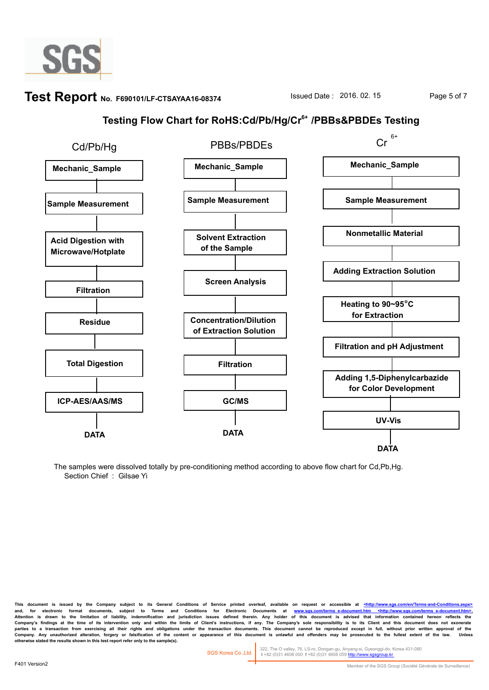

# **Test Report** No. F690101/LF-CTSAYAA16-08374 **Issued Date : 2016. 02. 15** Page 5 of 7

## **Testing Flow Chart for RoHS:Cd/Pb/Hg/Cr6+ /PBBs&PBDEs Testing**



The samples were dissolved totally by pre-conditioning method according to above flow chart for Cd,Pb,Hg. Section Chief : Gilsae Yi

This document is issued by the Company subject to its General Conditions of Service printed overleaf, available on request or accessible at <http://www.sgs and, for electronic format documents, subject to Terms and Conditions for Electronic Documents at <u>www.sgs.com/terms\_e-document.htm <http://www.sgs.com/terms\_e-document.htm>-</u><br>Attention is drawn to the limitation of liabil Company's findings at the time of its intervention only and within the limits of Client's instructions, if any. The Company's sole responsibility is to its Client and this document does not exonerate<br>parties to a transacti Company. Any unauthorized alteration, forgery or faisification of the content or appearance of this document is unlawful and offenders may be prosecuted to the fullest extent of the law.<br>otherwise stated the results shown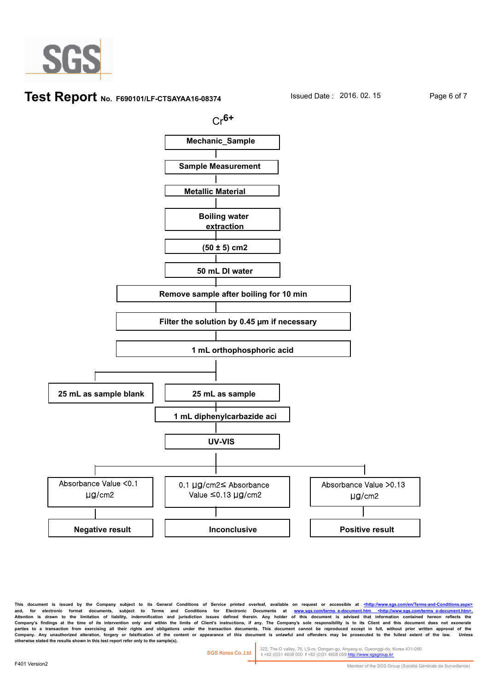

#### **Test Report** No. F690101/LF-CTSAYAA16-08374 **Issued Date : 2016. 02. 15** Page 6 of 7



This document is issued by the Company subject to its General Conditions of Service printed overleaf, available on request or accessible at <http://www. and, for electronic format documents, subject to Terms and Conditions for Electronic Documents at <u>www.sgs.com/terms\_e-document.htm <http://www.sgs.com/terms\_e-document.htm>-</u><br>Attention is drawn to the limitation of liabil Company's findings at the time of its intervention only and within the limits of Client's instructions, if any. The Company's sole responsibility is to its Client and this document does not exonerate<br>parties to a transacti Company. Any unauthorized alteration, forgery or faisification of the content or appearance of this document is unlawful and offenders may be prosecuted to the fullest extent of the law.<br>otherwise stated the results shown